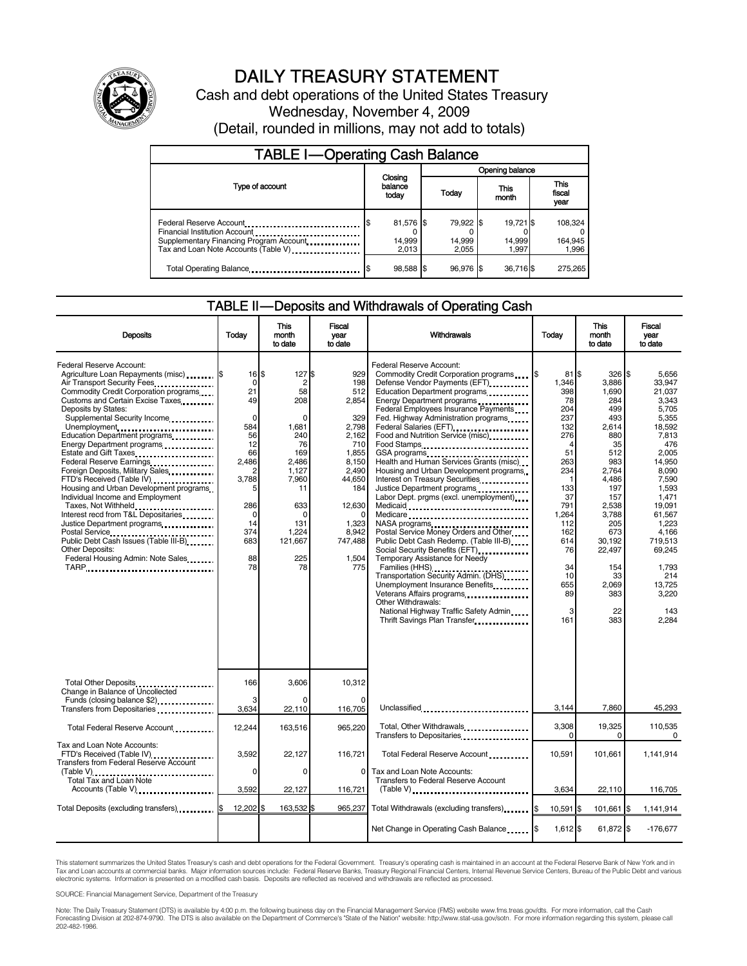

## DAILY TREASURY STATEMENT

Cash and debt operations of the United States Treasury Wednesday, November 4, 2009 (Detail, rounded in millions, may not add to totals)

| <b>TABLE I-Operating Cash Balance</b>                                                                                                       |                              |                              |                              |                             |  |  |  |
|---------------------------------------------------------------------------------------------------------------------------------------------|------------------------------|------------------------------|------------------------------|-----------------------------|--|--|--|
|                                                                                                                                             | Opening balance              |                              |                              |                             |  |  |  |
| Type of account                                                                                                                             | Closing<br>balance<br>today  | Today                        | This<br>month                | This<br>fiscal<br>year      |  |  |  |
| Federal Reserve Account<br>Financial Institution Account<br>Supplementary Financing Program Account<br>Tax and Loan Note Accounts (Table V) | 81,576 \$<br>14,999<br>2.013 | 79,922 \$<br>14,999<br>2,055 | 19,721 \$<br>14,999<br>1.997 | 108,324<br>164,945<br>1,996 |  |  |  |
| Total Operating Balance                                                                                                                     | 98,588 \$                    | 96.976 \$                    | 36,716\$                     | 275.265                     |  |  |  |

## TABLE II — Deposits and Withdrawals of Operating Cash

| <b>Deposits</b>                                                                                                                                                                                                                                                                                                                                                                                                                                                                                                                                                                                                                                                                                                                  | Todav                                                                                                                                                              | This<br>month<br>to date                                                                                                                                                  | Fiscal<br>vear<br>to date                                                                                                                                                 | Withdrawals                                                                                                                                                                                                                                                                                                                                                                                                                                                                                                                                                                                                                                                                                                                                                                                                                                                                                                                                                        | Todav                                                                                                                                                                          | This<br>month<br>to date                                                                                                                                                                                     | Fiscal<br>vear<br>to date                                                                                                                                                                                                                                  |
|----------------------------------------------------------------------------------------------------------------------------------------------------------------------------------------------------------------------------------------------------------------------------------------------------------------------------------------------------------------------------------------------------------------------------------------------------------------------------------------------------------------------------------------------------------------------------------------------------------------------------------------------------------------------------------------------------------------------------------|--------------------------------------------------------------------------------------------------------------------------------------------------------------------|---------------------------------------------------------------------------------------------------------------------------------------------------------------------------|---------------------------------------------------------------------------------------------------------------------------------------------------------------------------|--------------------------------------------------------------------------------------------------------------------------------------------------------------------------------------------------------------------------------------------------------------------------------------------------------------------------------------------------------------------------------------------------------------------------------------------------------------------------------------------------------------------------------------------------------------------------------------------------------------------------------------------------------------------------------------------------------------------------------------------------------------------------------------------------------------------------------------------------------------------------------------------------------------------------------------------------------------------|--------------------------------------------------------------------------------------------------------------------------------------------------------------------------------|--------------------------------------------------------------------------------------------------------------------------------------------------------------------------------------------------------------|------------------------------------------------------------------------------------------------------------------------------------------------------------------------------------------------------------------------------------------------------------|
| Federal Reserve Account:<br>Agriculture Loan Repayments (misc)  S<br>Air Transport Security Fees<br>Commodity Credit Corporation programs<br>Customs and Certain Excise Taxes<br>Deposits by States:<br>Supplemental Security Income<br>Unemployment<br>Education Department programs<br>Energy Department programs<br><br>Estate and Gift Taxes<br>Federal Reserve Earnings<br>Foreign Deposits, Military Sales<br>FTD's Received (Table IV)<br>Housing and Urban Development programs<br>Individual Income and Employment<br>Taxes, Not Withheld<br>Interest recd from T&L Depositaries<br>Justice Department programs<br>Public Debt Cash Issues (Table III-B)<br><b>Other Deposits:</b><br>Federal Housing Admin: Note Sales | $16$ S<br>$\mathbf 0$<br>21<br>49<br>$\Omega$<br>584<br>56<br>12<br>66<br>2,486<br>$\overline{2}$<br>3,788<br>5<br>286<br>$\Omega$<br>14<br>374<br>683<br>88<br>78 | 127\$<br>$\overline{2}$<br>58<br>208<br>$\Omega$<br>1,681<br>240<br>76<br>169<br>2,486<br>1,127<br>7,960<br>11<br>633<br>$\Omega$<br>131<br>1,224<br>121,667<br>225<br>78 | 929<br>198<br>512<br>2.854<br>329<br>2,798<br>2,162<br>710<br>1.855<br>8,150<br>2.490<br>44,650<br>184<br>12,630<br>$\Omega$<br>1,323<br>8,942<br>747,488<br>1,504<br>775 | Federal Reserve Account:<br>Commodity Credit Corporation programs<br>Defense Vendor Payments (EFT)<br>Education Department programs<br>Energy Department programs<br>Federal Employees Insurance Payments<br>Fed. Highway Administration programs<br>Federal Salaries (EFT)<br>1991 - Pateral Salaries (EFT)<br>Food and Nutrition Service (misc) [100]<br>Food Stamps<br>GSA programs<br>Health and Human Services Grants (misc)<br>Housing and Urban Development programs<br>Interest on Treasury Securities<br>Justice Department programs<br>Labor Dept. prgms (excl. unemployment)<br>Medicaid<br>Medicare<br>Postal Service Money Orders and Other<br>Public Debt Cash Redemp. (Table III-B)<br>Social Security Benefits (EFT)<br>Temporary Assistance for Needy<br>Families (HHS)<br>Transportation Security Admin. (DHS)<br>Unemployment Insurance Benefits<br>Other Withdrawals:<br>National Highway Traffic Safety Admin<br>Thrift Savings Plan Transfer | $81$ S<br>1.346<br>398<br>78<br>204<br>237<br>132<br>276<br>4<br>51<br>263<br>234<br>133<br>37<br>791<br>1.264<br>112<br>162<br>614<br>76<br>34<br>10<br>655<br>89<br>3<br>161 | 326<br>3.886<br>1,690<br>284<br>499<br>493<br>2,614<br>880<br>35<br>512<br>983<br>2,764<br>4,486<br>197<br>157<br>2,538<br>3,788<br>205<br>673<br>30,192<br>22.497<br>154<br>33<br>2.069<br>383<br>22<br>383 | l\$<br>5.656<br>33.947<br>21,037<br>3.343<br>5.705<br>5.355<br>18,592<br>7,813<br>476<br>2.005<br>14,950<br>8.090<br>7,590<br>1.593<br>1,471<br>19,091<br>61,567<br>1,223<br>4.166<br>719,513<br>69,245<br>1,793<br>214<br>13.725<br>3,220<br>143<br>2,284 |
| Total Other Deposits<br>Change in Balance of Uncollected<br>Funds (closing balance \$2)                                                                                                                                                                                                                                                                                                                                                                                                                                                                                                                                                                                                                                          | 166<br>3                                                                                                                                                           | 3.606                                                                                                                                                                     | 10.312                                                                                                                                                                    |                                                                                                                                                                                                                                                                                                                                                                                                                                                                                                                                                                                                                                                                                                                                                                                                                                                                                                                                                                    |                                                                                                                                                                                |                                                                                                                                                                                                              |                                                                                                                                                                                                                                                            |
| Transfers from Depositaries                                                                                                                                                                                                                                                                                                                                                                                                                                                                                                                                                                                                                                                                                                      | 3,634                                                                                                                                                              | 22,110                                                                                                                                                                    | 116,705                                                                                                                                                                   | Unclassified                                                                                                                                                                                                                                                                                                                                                                                                                                                                                                                                                                                                                                                                                                                                                                                                                                                                                                                                                       | 3,144                                                                                                                                                                          | 7,860                                                                                                                                                                                                        | 45,293                                                                                                                                                                                                                                                     |
| Total Federal Reserve Account                                                                                                                                                                                                                                                                                                                                                                                                                                                                                                                                                                                                                                                                                                    | 12,244                                                                                                                                                             | 163,516                                                                                                                                                                   | 965,220                                                                                                                                                                   | Total, Other Withdrawals<br>Transfers to Depositaries                                                                                                                                                                                                                                                                                                                                                                                                                                                                                                                                                                                                                                                                                                                                                                                                                                                                                                              | 3,308<br>$\Omega$                                                                                                                                                              | 19,325<br>$\Omega$                                                                                                                                                                                           | 110,535<br>0                                                                                                                                                                                                                                               |
| Tax and Loan Note Accounts:<br>FTD's Received (Table IV)<br>Transfers from Federal Reserve Account<br>$(Table V)$                                                                                                                                                                                                                                                                                                                                                                                                                                                                                                                                                                                                                | 3,592<br>0                                                                                                                                                         | 22,127<br>0                                                                                                                                                               | 116,721<br>0                                                                                                                                                              | Total Federal Reserve Account<br>Tax and Loan Note Accounts:                                                                                                                                                                                                                                                                                                                                                                                                                                                                                                                                                                                                                                                                                                                                                                                                                                                                                                       | 10.591                                                                                                                                                                         | 101.661                                                                                                                                                                                                      | 1,141,914                                                                                                                                                                                                                                                  |
| Total Tax and Loan Note<br>Accounts (Table V)                                                                                                                                                                                                                                                                                                                                                                                                                                                                                                                                                                                                                                                                                    | 3,592                                                                                                                                                              | 22,127                                                                                                                                                                    | 116,721                                                                                                                                                                   | Transfers to Federal Reserve Account<br>$(Table V)$                                                                                                                                                                                                                                                                                                                                                                                                                                                                                                                                                                                                                                                                                                                                                                                                                                                                                                                | 3,634                                                                                                                                                                          | 22,110                                                                                                                                                                                                       | 116,705                                                                                                                                                                                                                                                    |
|                                                                                                                                                                                                                                                                                                                                                                                                                                                                                                                                                                                                                                                                                                                                  |                                                                                                                                                                    |                                                                                                                                                                           |                                                                                                                                                                           |                                                                                                                                                                                                                                                                                                                                                                                                                                                                                                                                                                                                                                                                                                                                                                                                                                                                                                                                                                    |                                                                                                                                                                                |                                                                                                                                                                                                              |                                                                                                                                                                                                                                                            |
| Total Deposits (excluding transfers)                                                                                                                                                                                                                                                                                                                                                                                                                                                                                                                                                                                                                                                                                             | 12,202 \$                                                                                                                                                          | 163,532 \$                                                                                                                                                                | 965,237                                                                                                                                                                   | Total Withdrawals (excluding transfers) [\$                                                                                                                                                                                                                                                                                                                                                                                                                                                                                                                                                                                                                                                                                                                                                                                                                                                                                                                        | 10,591 \$                                                                                                                                                                      | 101,661                                                                                                                                                                                                      | 1,141,914<br>ß.                                                                                                                                                                                                                                            |
|                                                                                                                                                                                                                                                                                                                                                                                                                                                                                                                                                                                                                                                                                                                                  |                                                                                                                                                                    |                                                                                                                                                                           |                                                                                                                                                                           | Net Change in Operating Cash Balance                                                                                                                                                                                                                                                                                                                                                                                                                                                                                                                                                                                                                                                                                                                                                                                                                                                                                                                               | $1,612$ \$                                                                                                                                                                     | 61,872 \$                                                                                                                                                                                                    | $-176,677$                                                                                                                                                                                                                                                 |

This statement summarizes the United States Treasury's cash and debt operations for the Federal Government. Treasury's operating cash is maintained in an account at the Federal Reserve Bank of New York and in Tax and Loan accounts at commercial banks. Major information sources include: Federal Reserve Banks, Treasury Regional Financial Centers, Internal Revenue Service Centers, Bureau of the Public Debt and various<br>electronic s

SOURCE: Financial Management Service, Department of the Treasury

Note: The Daily Treasury Statement (DTS) is available by 4:00 p.m. the following business day on the Financial Management Service (FMS) website www.fms.treas.gov/dts. For more information, call the Cash<br>Forecasting Divisio